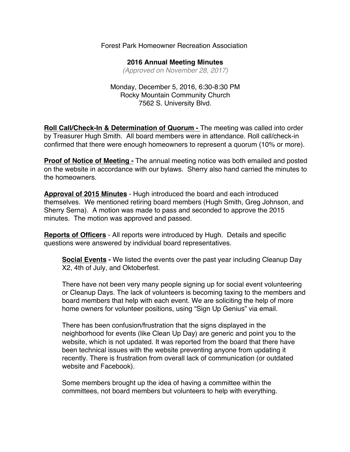## Forest Park Homeowner Recreation Association

**2016 Annual Meeting Minutes** *(Approved on November 28, 2017)*

Monday, December 5, 2016, 6:30-8:30 PM Rocky Mountain Community Church 7562 S. University Blvd.

**Roll Call/Check-In & Determination of Quorum -** The meeting was called into order by Treasurer Hugh Smith. All board members were in attendance. Roll call/check-in confirmed that there were enough homeowners to represent a quorum (10% or more).

**Proof of Notice of Meeting -** The annual meeting notice was both emailed and posted on the website in accordance with our bylaws. Sherry also hand carried the minutes to the homeowners.

**Approval of 2015 Minutes** - Hugh introduced the board and each introduced themselves. We mentioned retiring board members (Hugh Smith, Greg Johnson, and Sherry Serna). A motion was made to pass and seconded to approve the 2015 minutes. The motion was approved and passed.

**Reports of Officers** - All reports were introduced by Hugh. Details and specific questions were answered by individual board representatives.

**Social Events -** We listed the events over the past year including Cleanup Day X2, 4th of July, and Oktoberfest.

There have not been very many people signing up for social event volunteering or Cleanup Days. The lack of volunteers is becoming taxing to the members and board members that help with each event. We are soliciting the help of more home owners for volunteer positions, using "Sign Up Genius" via email.

There has been confusion/frustration that the signs displayed in the neighborhood for events (like Clean Up Day) are generic and point you to the website, which is not updated. It was reported from the board that there have been technical issues with the website preventing anyone from updating it recently. There is frustration from overall lack of communication (or outdated website and Facebook).

Some members brought up the idea of having a committee within the committees, not board members but volunteers to help with everything.